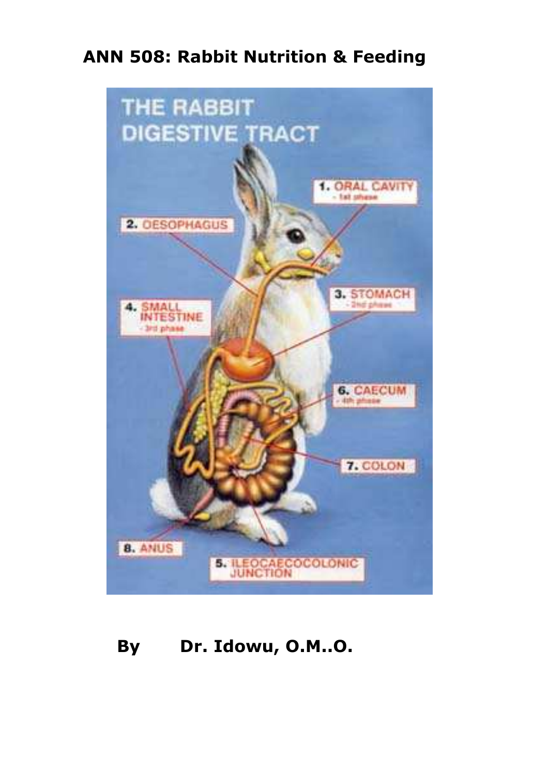# **ANN 508: Rabbit Nutrition & Feeding**



# **By Dr. Idowu, O.M..O.**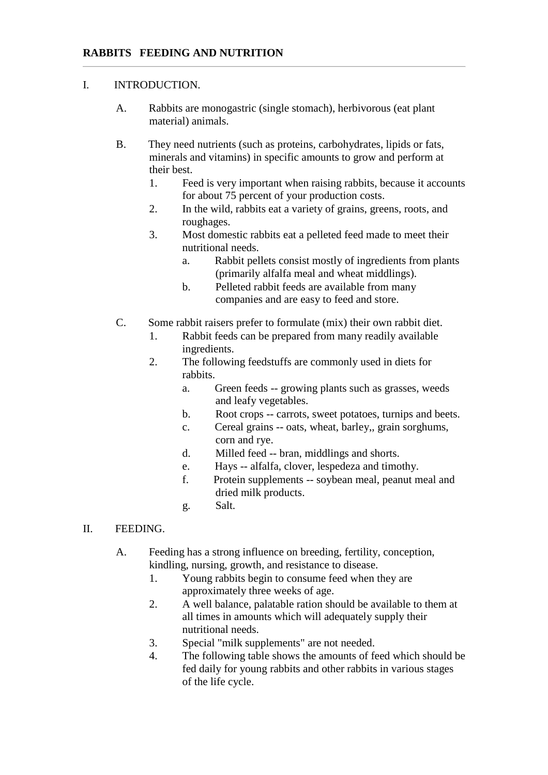### I. INTRODUCTION.

- A. Rabbits are monogastric (single stomach), herbivorous (eat plant material) animals.
- B. They need nutrients (such as proteins, carbohydrates, lipids or fats, minerals and vitamins) in specific amounts to grow and perform at their best.
	- 1. Feed is very important when raising rabbits, because it accounts for about 75 percent of your production costs.
	- 2. In the wild, rabbits eat a variety of grains, greens, roots, and roughages.
	- 3. Most domestic rabbits eat a pelleted feed made to meet their nutritional needs.
		- a. Rabbit pellets consist mostly of ingredients from plants (primarily alfalfa meal and wheat middlings).
		- b. Pelleted rabbit feeds are available from many companies and are easy to feed and store.
- C. Some rabbit raisers prefer to formulate (mix) their own rabbit diet.
	- 1. Rabbit feeds can be prepared from many readily available ingredients.
	- 2. The following feedstuffs are commonly used in diets for rabbits.
		- a. Green feeds -- growing plants such as grasses, weeds and leafy vegetables.
		- b. Root crops -- carrots, sweet potatoes, turnips and beets.
		- c. Cereal grains -- oats, wheat, barley,, grain sorghums, corn and rye.
		- d. Milled feed -- bran, middlings and shorts.
		- e. Hays -- alfalfa, clover, lespedeza and timothy.
		- f. Protein supplements -- soybean meal, peanut meal and dried milk products.
		- g. Salt.
- II. FEEDING.
	- A. Feeding has a strong influence on breeding, fertility, conception, kindling, nursing, growth, and resistance to disease.
		- 1. Young rabbits begin to consume feed when they are approximately three weeks of age.
		- 2. A well balance, palatable ration should be available to them at all times in amounts which will adequately supply their nutritional needs.
		- 3. Special "milk supplements" are not needed.
		- 4. The following table shows the amounts of feed which should be fed daily for young rabbits and other rabbits in various stages of the life cycle.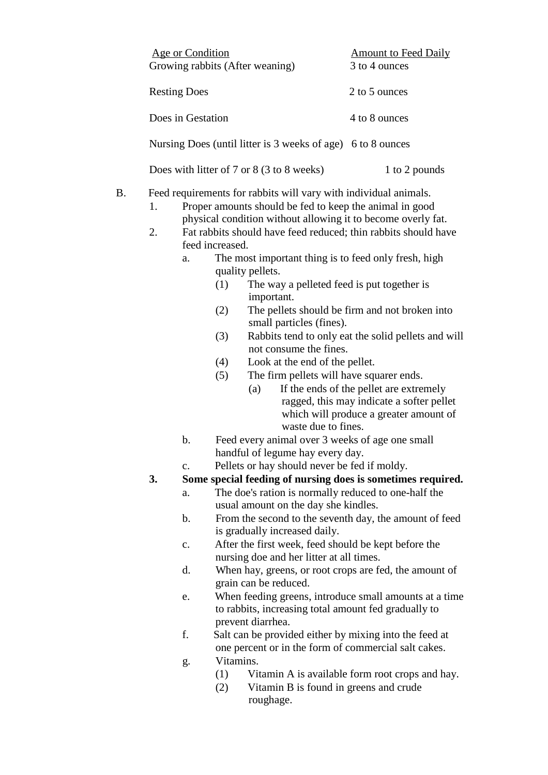|           | Age or Condition<br>Growing rabbits (After weaning)<br><b>Resting Does</b>                                                                    |                                                                                                                                                                                                                                                                                                                                                                                                                                                                                                                                                                                                              |                                                                                                                                                                                                                                                                                             | <b>Amount to Feed Daily</b><br>3 to 4 ounces                                                                                                                                                                                            |  |  |
|-----------|-----------------------------------------------------------------------------------------------------------------------------------------------|--------------------------------------------------------------------------------------------------------------------------------------------------------------------------------------------------------------------------------------------------------------------------------------------------------------------------------------------------------------------------------------------------------------------------------------------------------------------------------------------------------------------------------------------------------------------------------------------------------------|---------------------------------------------------------------------------------------------------------------------------------------------------------------------------------------------------------------------------------------------------------------------------------------------|-----------------------------------------------------------------------------------------------------------------------------------------------------------------------------------------------------------------------------------------|--|--|
|           |                                                                                                                                               |                                                                                                                                                                                                                                                                                                                                                                                                                                                                                                                                                                                                              |                                                                                                                                                                                                                                                                                             | 2 to 5 ounces                                                                                                                                                                                                                           |  |  |
|           | Does in Gestation                                                                                                                             |                                                                                                                                                                                                                                                                                                                                                                                                                                                                                                                                                                                                              |                                                                                                                                                                                                                                                                                             | 4 to 8 ounces                                                                                                                                                                                                                           |  |  |
|           |                                                                                                                                               |                                                                                                                                                                                                                                                                                                                                                                                                                                                                                                                                                                                                              | Nursing Does (until litter is 3 weeks of age) 6 to 8 ounces                                                                                                                                                                                                                                 |                                                                                                                                                                                                                                         |  |  |
|           | Does with litter of 7 or 8 (3 to 8 weeks)                                                                                                     |                                                                                                                                                                                                                                                                                                                                                                                                                                                                                                                                                                                                              |                                                                                                                                                                                                                                                                                             | 1 to 2 pounds                                                                                                                                                                                                                           |  |  |
| <b>B.</b> | 1.<br>2.                                                                                                                                      | Feed requirements for rabbits will vary with individual animals.<br>Proper amounts should be fed to keep the animal in good<br>physical condition without allowing it to become overly fat.<br>Fat rabbits should have feed reduced; thin rabbits should have<br>feed increased.<br>The most important thing is to feed only fresh, high<br>a.<br>quality pellets.<br>The way a pelleted feed is put together is<br>(1)<br>important.<br>(2)<br>small particles (fines).<br>(3)<br>not consume the fines.<br>Look at the end of the pellet.<br>(4)<br>The firm pellets will have squarer ends.<br>(5)<br>(a) |                                                                                                                                                                                                                                                                                             | The pellets should be firm and not broken into<br>Rabbits tend to only eat the solid pellets and will<br>If the ends of the pellet are extremely<br>ragged, this may indicate a softer pellet<br>which will produce a greater amount of |  |  |
|           | b.                                                                                                                                            |                                                                                                                                                                                                                                                                                                                                                                                                                                                                                                                                                                                                              | waste due to fines.<br>Feed every animal over 3 weeks of age one small                                                                                                                                                                                                                      |                                                                                                                                                                                                                                         |  |  |
|           |                                                                                                                                               |                                                                                                                                                                                                                                                                                                                                                                                                                                                                                                                                                                                                              | handful of legume hay every day.                                                                                                                                                                                                                                                            |                                                                                                                                                                                                                                         |  |  |
|           | Pellets or hay should never be fed if moldy.<br>$\mathbf{c}$ .                                                                                |                                                                                                                                                                                                                                                                                                                                                                                                                                                                                                                                                                                                              |                                                                                                                                                                                                                                                                                             |                                                                                                                                                                                                                                         |  |  |
|           | 3.<br>Some special feeding of nursing does is sometimes required.                                                                             |                                                                                                                                                                                                                                                                                                                                                                                                                                                                                                                                                                                                              |                                                                                                                                                                                                                                                                                             |                                                                                                                                                                                                                                         |  |  |
|           | a.                                                                                                                                            |                                                                                                                                                                                                                                                                                                                                                                                                                                                                                                                                                                                                              | The doe's ration is normally reduced to one-half the<br>usual amount on the day she kindles.<br>From the second to the seventh day, the amount of feed<br>is gradually increased daily.<br>After the first week, feed should be kept before the<br>nursing doe and her litter at all times. |                                                                                                                                                                                                                                         |  |  |
|           | b.                                                                                                                                            |                                                                                                                                                                                                                                                                                                                                                                                                                                                                                                                                                                                                              |                                                                                                                                                                                                                                                                                             |                                                                                                                                                                                                                                         |  |  |
|           | c.                                                                                                                                            |                                                                                                                                                                                                                                                                                                                                                                                                                                                                                                                                                                                                              |                                                                                                                                                                                                                                                                                             |                                                                                                                                                                                                                                         |  |  |
|           | d.                                                                                                                                            |                                                                                                                                                                                                                                                                                                                                                                                                                                                                                                                                                                                                              |                                                                                                                                                                                                                                                                                             | When hay, greens, or root crops are fed, the amount of                                                                                                                                                                                  |  |  |
|           | grain can be reduced.<br>When feeding greens, introduce small amounts at a time<br>e.<br>to rabbits, increasing total amount fed gradually to |                                                                                                                                                                                                                                                                                                                                                                                                                                                                                                                                                                                                              |                                                                                                                                                                                                                                                                                             |                                                                                                                                                                                                                                         |  |  |
|           | prevent diarrhea.<br>f.<br>Salt can be provided either by mixing into the feed at                                                             |                                                                                                                                                                                                                                                                                                                                                                                                                                                                                                                                                                                                              |                                                                                                                                                                                                                                                                                             |                                                                                                                                                                                                                                         |  |  |

- one percent or in the form of commercial salt cakes. g. Vitamins.<br>(1) Vit
- (1) Vitamin A is available form root crops and hay.
- (2) Vitamin B is found in greens and crude roughage.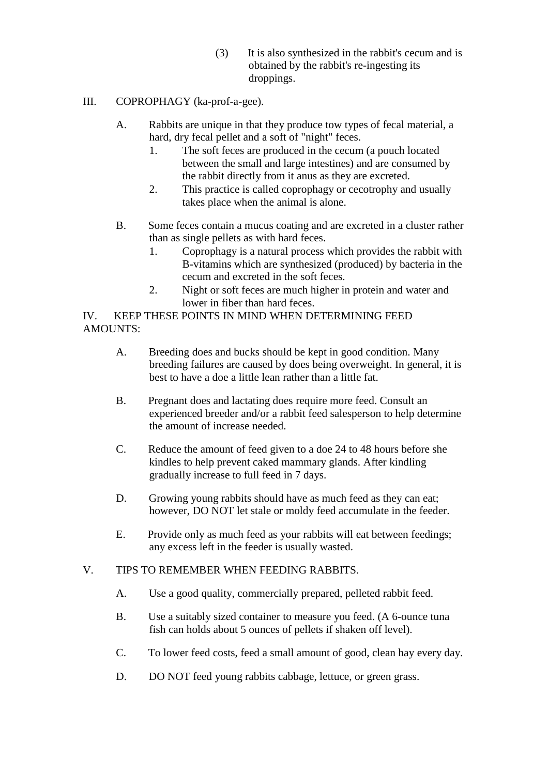(3) It is also synthesized in the rabbit's cecum and is obtained by the rabbit's re-ingesting its droppings.

## III. COPROPHAGY (ka-prof-a-gee).

- A. Rabbits are unique in that they produce tow types of fecal material, a hard, dry fecal pellet and a soft of "night" feces.
	- 1. The soft feces are produced in the cecum (a pouch located between the small and large intestines) and are consumed by the rabbit directly from it anus as they are excreted.
	- 2. This practice is called coprophagy or cecotrophy and usually takes place when the animal is alone.
- B. Some feces contain a mucus coating and are excreted in a cluster rather than as single pellets as with hard feces.
	- 1. Coprophagy is a natural process which provides the rabbit with B-vitamins which are synthesized (produced) by bacteria in the cecum and excreted in the soft feces.
	- 2. Night or soft feces are much higher in protein and water and lower in fiber than hard feces.

# IV. KEEP THESE POINTS IN MIND WHEN DETERMINING FEED AMOUNTS:

- A. Breeding does and bucks should be kept in good condition. Many breeding failures are caused by does being overweight. In general, it is best to have a doe a little lean rather than a little fat.
- B. Pregnant does and lactating does require more feed. Consult an experienced breeder and/or a rabbit feed salesperson to help determine the amount of increase needed.
- C. Reduce the amount of feed given to a doe 24 to 48 hours before she kindles to help prevent caked mammary glands. After kindling gradually increase to full feed in 7 days.
- D. Growing young rabbits should have as much feed as they can eat; however, DO NOT let stale or moldy feed accumulate in the feeder.
- E. Provide only as much feed as your rabbits will eat between feedings; any excess left in the feeder is usually wasted.

# V. TIPS TO REMEMBER WHEN FEEDING RABBITS.

- A. Use a good quality, commercially prepared, pelleted rabbit feed.
- B. Use a suitably sized container to measure you feed. (A 6-ounce tuna fish can holds about 5 ounces of pellets if shaken off level).
- C. To lower feed costs, feed a small amount of good, clean hay every day.
- D. DO NOT feed young rabbits cabbage, lettuce, or green grass.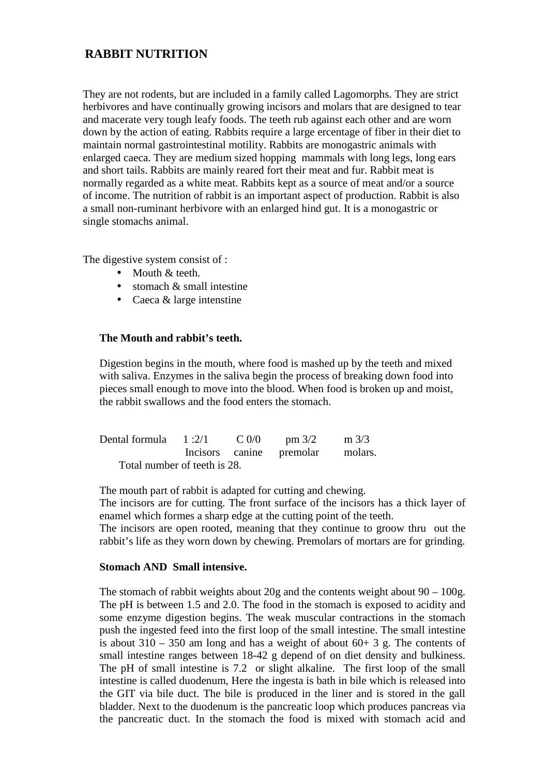# **RABBIT NUTRITION**

They are not rodents, but are included in a family called Lagomorphs. They are strict herbivores and have continually growing incisors and molars that are designed to tear and macerate very tough leafy foods. The teeth rub against each other and are worn down by the action of eating. Rabbits require a large ercentage of fiber in their diet to maintain normal gastrointestinal motility. Rabbits are monogastric animals with enlarged caeca. They are medium sized hopping mammals with long legs, long ears and short tails. Rabbits are mainly reared fort their meat and fur. Rabbit meat is normally regarded as a white meat. Rabbits kept as a source of meat and/or a source of income. The nutrition of rabbit is an important aspect of production. Rabbit is also a small non-ruminant herbivore with an enlarged hind gut. It is a monogastric or single stomachs animal.

The digestive system consist of :

- Mouth & teeth.
- stomach & small intestine
- Caeca & large intenstine

### **The Mouth and rabbit's teeth.**

Digestion begins in the mouth, where food is mashed up by the teeth and mixed with saliva. Enzymes in the saliva begin the process of breaking down food into pieces small enough to move into the blood. When food is broken up and moist, the rabbit swallows and the food enters the stomach.

| Dental formula $1:2/1$ C 0/0 |  | pm 3/2                   | $m \frac{3}{3}$ |
|------------------------------|--|--------------------------|-----------------|
|                              |  | Incisors canine premolar | molars.         |
| Total number of teeth is 28. |  |                          |                 |

The mouth part of rabbit is adapted for cutting and chewing. The incisors are for cutting. The front surface of the incisors has a thick layer of enamel which formes a sharp edge at the cutting point of the teeth.

The incisors are open rooted, meaning that they continue to groow thru out the rabbit's life as they worn down by chewing. Premolars of mortars are for grinding.

### **Stomach AND Small intensive.**

The stomach of rabbit weights about 20g and the contents weight about  $90 - 100$ g. The pH is between 1.5 and 2.0. The food in the stomach is exposed to acidity and some enzyme digestion begins. The weak muscular contractions in the stomach push the ingested feed into the first loop of the small intestine. The small intestine is about  $310 - 350$  am long and has a weight of about  $60 + 3$  g. The contents of small intestine ranges between 18-42 g depend of on diet density and bulkiness. The pH of small intestine is 7.2 or slight alkaline. The first loop of the small intestine is called duodenum, Here the ingesta is bath in bile which is released into the GIT via bile duct. The bile is produced in the liner and is stored in the gall bladder. Next to the duodenum is the pancreatic loop which produces pancreas via the pancreatic duct. In the stomach the food is mixed with stomach acid and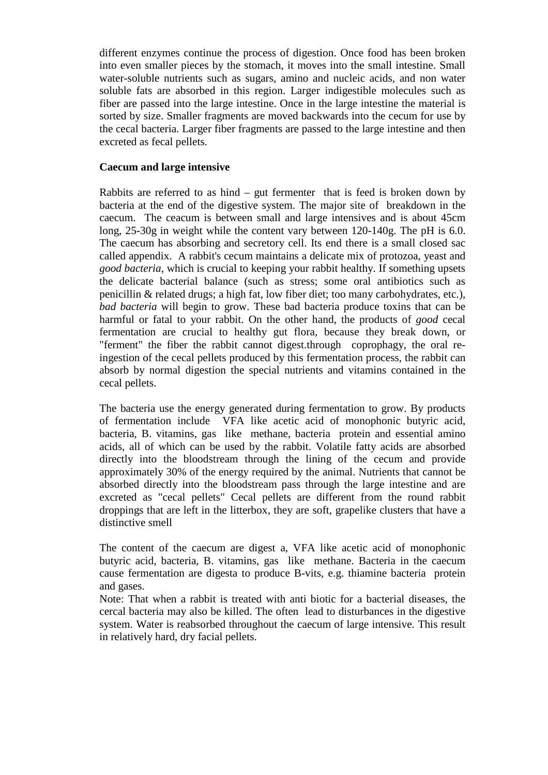different enzymes continue the process of digestion. Once food has been broken into even smaller pieces by the stomach, it moves into the small intestine. Small water-soluble nutrients such as sugars, amino and nucleic acids, and non water soluble fats are absorbed in this region. Larger indigestible molecules such as fiber are passed into the large intestine. Once in the large intestine the material is sorted by size. Smaller fragments are moved backwards into the cecum for use by the cecal bacteria. Larger fiber fragments are passed to the large intestine and then excreted as fecal pellets.

### **Caecum and large intensive**

Rabbits are referred to as hind  $-$  gut fermenter that is feed is broken down by bacteria at the end of the digestive system. The major site of breakdown in the caecum. The ceacum is between small and large intensives and is about 45cm long, 25-30g in weight while the content vary between 120-140g. The pH is 6.0. The caecum has absorbing and secretory cell. Its end there is a small closed sac called appendix. A rabbit's cecum maintains a delicate mix of protozoa, yeast and *good bacteria*, which is crucial to keeping your rabbit healthy. If something upsets the delicate bacterial balance (such as stress; some oral antibiotics such as penicillin & related drugs; a high fat, low fiber diet; too many carbohydrates, etc.), *bad bacteria* will begin to grow. These bad bacteria produce toxins that can be harmful or fatal to your rabbit. On the other hand, the products of *good* cecal fermentation are crucial to healthy gut flora, because they break down, or "ferment" the fiber the rabbit cannot digest.through coprophagy, the oral reingestion of the cecal pellets produced by this fermentation process, the rabbit can absorb by normal digestion the special nutrients and vitamins contained in the cecal pellets.

The bacteria use the energy generated during fermentation to grow. By products of fermentation include VFA like acetic acid of monophonic butyric acid, bacteria, B. vitamins, gas like methane, bacteria protein and essential amino acids, all of which can be used by the rabbit. Volatile fatty acids are absorbed directly into the bloodstream through the lining of the cecum and provide approximately 30% of the energy required by the animal. Nutrients that cannot be absorbed directly into the bloodstream pass through the large intestine and are excreted as "cecal pellets" Cecal pellets are different from the round rabbit droppings that are left in the litterbox, they are soft, grapelike clusters that have a distinctive smell

The content of the caecum are digest a, VFA like acetic acid of monophonic butyric acid, bacteria, B. vitamins, gas like methane. Bacteria in the caecum cause fermentation are digesta to produce B-vits, e.g. thiamine bacteria protein and gases.

Note: That when a rabbit is treated with anti biotic for a bacterial diseases, the cercal bacteria may also be killed. The often lead to disturbances in the digestive system. Water is reabsorbed throughout the caecum of large intensive. This result in relatively hard, dry facial pellets.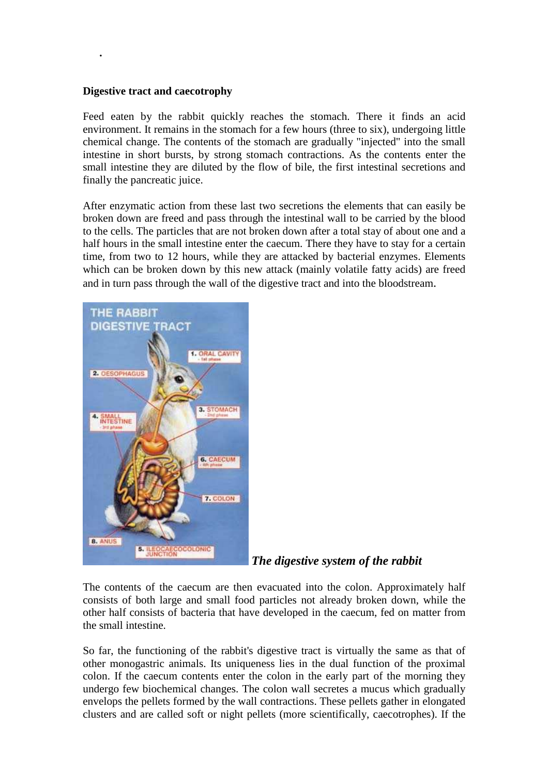### **Digestive tract and caecotrophy**

**.** 

Feed eaten by the rabbit quickly reaches the stomach. There it finds an acid environment. It remains in the stomach for a few hours (three to six), undergoing little chemical change. The contents of the stomach are gradually "injected" into the small intestine in short bursts, by strong stomach contractions. As the contents enter the small intestine they are diluted by the flow of bile, the first intestinal secretions and finally the pancreatic juice.

After enzymatic action from these last two secretions the elements that can easily be broken down are freed and pass through the intestinal wall to be carried by the blood to the cells. The particles that are not broken down after a total stay of about one and a half hours in the small intestine enter the caecum. There they have to stay for a certain time, from two to 12 hours, while they are attacked by bacterial enzymes. Elements which can be broken down by this new attack (mainly volatile fatty acids) are freed and in turn pass through the wall of the digestive tract and into the bloodstream.



 *The digestive system of the rabbit* 

The contents of the caecum are then evacuated into the colon. Approximately half consists of both large and small food particles not already broken down, while the other half consists of bacteria that have developed in the caecum, fed on matter from the small intestine.

So far, the functioning of the rabbit's digestive tract is virtually the same as that of other monogastric animals. Its uniqueness lies in the dual function of the proximal colon. If the caecum contents enter the colon in the early part of the morning they undergo few biochemical changes. The colon wall secretes a mucus which gradually envelops the pellets formed by the wall contractions. These pellets gather in elongated clusters and are called soft or night pellets (more scientifically, caecotrophes). If the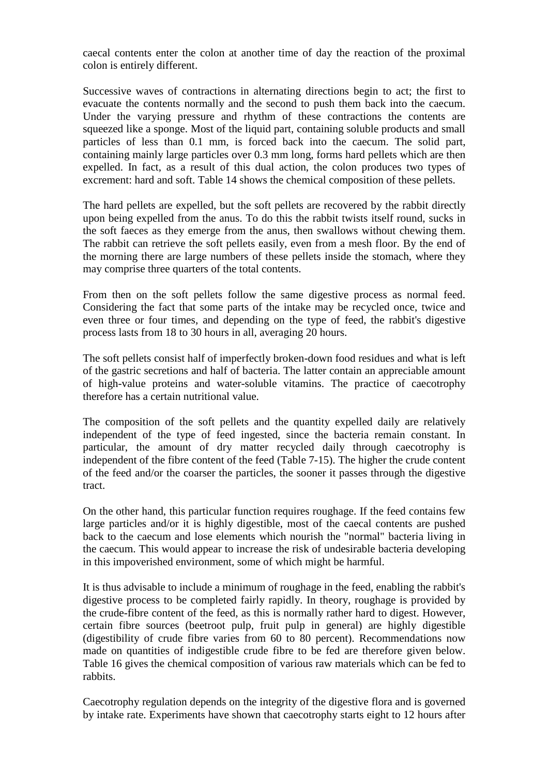caecal contents enter the colon at another time of day the reaction of the proximal colon is entirely different.

Successive waves of contractions in alternating directions begin to act; the first to evacuate the contents normally and the second to push them back into the caecum. Under the varying pressure and rhythm of these contractions the contents are squeezed like a sponge. Most of the liquid part, containing soluble products and small particles of less than 0.1 mm, is forced back into the caecum. The solid part, containing mainly large particles over 0.3 mm long, forms hard pellets which are then expelled. In fact, as a result of this dual action, the colon produces two types of excrement: hard and soft. Table 14 shows the chemical composition of these pellets.

The hard pellets are expelled, but the soft pellets are recovered by the rabbit directly upon being expelled from the anus. To do this the rabbit twists itself round, sucks in the soft faeces as they emerge from the anus, then swallows without chewing them. The rabbit can retrieve the soft pellets easily, even from a mesh floor. By the end of the morning there are large numbers of these pellets inside the stomach, where they may comprise three quarters of the total contents.

From then on the soft pellets follow the same digestive process as normal feed. Considering the fact that some parts of the intake may be recycled once, twice and even three or four times, and depending on the type of feed, the rabbit's digestive process lasts from 18 to 30 hours in all, averaging 20 hours.

The soft pellets consist half of imperfectly broken-down food residues and what is left of the gastric secretions and half of bacteria. The latter contain an appreciable amount of high-value proteins and water-soluble vitamins. The practice of caecotrophy therefore has a certain nutritional value.

The composition of the soft pellets and the quantity expelled daily are relatively independent of the type of feed ingested, since the bacteria remain constant. In particular, the amount of dry matter recycled daily through caecotrophy is independent of the fibre content of the feed (Table 7-15). The higher the crude content of the feed and/or the coarser the particles, the sooner it passes through the digestive tract.

On the other hand, this particular function requires roughage. If the feed contains few large particles and/or it is highly digestible, most of the caecal contents are pushed back to the caecum and lose elements which nourish the "normal" bacteria living in the caecum. This would appear to increase the risk of undesirable bacteria developing in this impoverished environment, some of which might be harmful.

It is thus advisable to include a minimum of roughage in the feed, enabling the rabbit's digestive process to be completed fairly rapidly. In theory, roughage is provided by the crude-fibre content of the feed, as this is normally rather hard to digest. However, certain fibre sources (beetroot pulp, fruit pulp in general) are highly digestible (digestibility of crude fibre varies from 60 to 80 percent). Recommendations now made on quantities of indigestible crude fibre to be fed are therefore given below. Table 16 gives the chemical composition of various raw materials which can be fed to rabbits.

Caecotrophy regulation depends on the integrity of the digestive flora and is governed by intake rate. Experiments have shown that caecotrophy starts eight to 12 hours after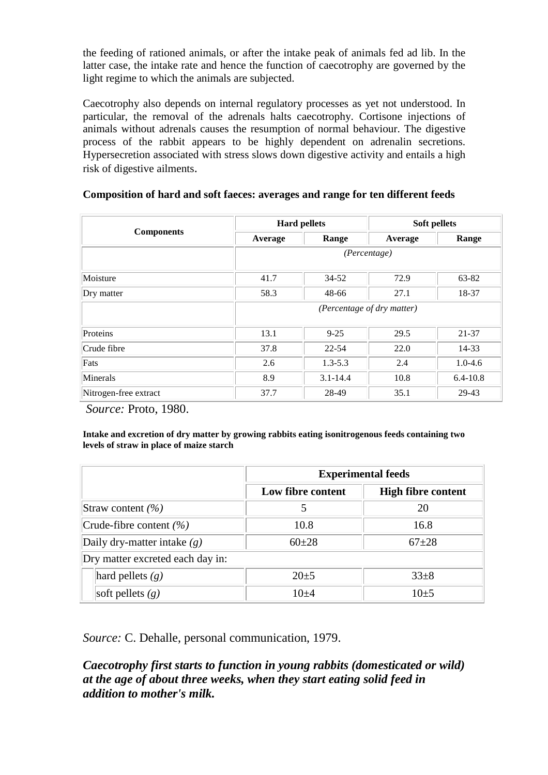the feeding of rationed animals, or after the intake peak of animals fed ad lib. In the latter case, the intake rate and hence the function of caecotrophy are governed by the light regime to which the animals are subjected.

Caecotrophy also depends on internal regulatory processes as yet not understood. In particular, the removal of the adrenals halts caecotrophy. Cortisone injections of animals without adrenals causes the resumption of normal behaviour. The digestive process of the rabbit appears to be highly dependent on adrenalin secretions. Hypersecretion associated with stress slows down digestive activity and entails a high risk of digestive ailments.

|                       | <b>Hard pellets</b>        |              | Soft pellets |              |
|-----------------------|----------------------------|--------------|--------------|--------------|
| <b>Components</b>     | Average                    | Range        | Average      | Range        |
|                       | (Percentage)               |              |              |              |
| Moisture              | 41.7                       | $34 - 52$    | 72.9         | 63-82        |
| Dry matter            | 58.3                       | 48-66        | 27.1         | 18-37        |
|                       | (Percentage of dry matter) |              |              |              |
| Proteins              | 13.1                       | $9 - 25$     | 29.5         | 21-37        |
| Crude fibre           | 37.8                       | $22 - 54$    | 22.0         | 14-33        |
| Fats                  | 2.6                        | $1.3 - 5.3$  | 2.4          | $1.0 - 4.6$  |
| Minerals              | 8.9                        | $3.1 - 14.4$ | 10.8         | $6.4 - 10.8$ |
| Nitrogen-free extract | 37.7                       | 28-49        | 35.1         | 29-43        |

### **Composition of hard and soft faeces: averages and range for ten different feeds**

*Source:* Proto, 1980.

**Intake and excretion of dry matter by growing rabbits eating isonitrogenous feeds containing two levels of straw in place of maize starch**

|                                  | <b>Experimental feeds</b> |                           |  |
|----------------------------------|---------------------------|---------------------------|--|
|                                  | Low fibre content         | <b>High fibre content</b> |  |
| Straw content $(\% )$            |                           |                           |  |
| Crude-fibre content $(\% )$      | 10.8                      | 16.8                      |  |
| Daily dry-matter intake $(g)$    | $60+28$                   | $67 + 28$                 |  |
| Dry matter excreted each day in: |                           |                           |  |
| hard pellets $(g)$               | $20\pm 5$                 | $33\pm8$                  |  |
| soft pellets $(g)$               | $10+4$                    | $10+5$                    |  |

*Source:* C. Dehalle, personal communication, 1979.

*Caecotrophy first starts to function in young rabbits (domesticated or wild) at the age of about three weeks, when they start eating solid feed in addition to mother's milk.*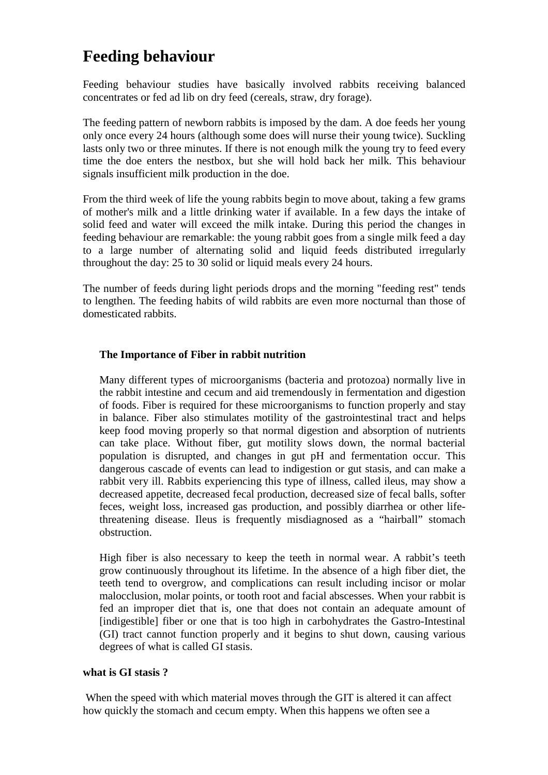# **Feeding behaviour**

Feeding behaviour studies have basically involved rabbits receiving balanced concentrates or fed ad lib on dry feed (cereals, straw, dry forage).

The feeding pattern of newborn rabbits is imposed by the dam. A doe feeds her young only once every 24 hours (although some does will nurse their young twice). Suckling lasts only two or three minutes. If there is not enough milk the young try to feed every time the doe enters the nestbox, but she will hold back her milk. This behaviour signals insufficient milk production in the doe.

From the third week of life the young rabbits begin to move about, taking a few grams of mother's milk and a little drinking water if available. In a few days the intake of solid feed and water will exceed the milk intake. During this period the changes in feeding behaviour are remarkable: the young rabbit goes from a single milk feed a day to a large number of alternating solid and liquid feeds distributed irregularly throughout the day: 25 to 30 solid or liquid meals every 24 hours.

The number of feeds during light periods drops and the morning "feeding rest" tends to lengthen. The feeding habits of wild rabbits are even more nocturnal than those of domesticated rabbits.

### **The Importance of Fiber in rabbit nutrition**

Many different types of microorganisms (bacteria and protozoa) normally live in the rabbit intestine and cecum and aid tremendously in fermentation and digestion of foods. Fiber is required for these microorganisms to function properly and stay in balance. Fiber also stimulates motility of the gastrointestinal tract and helps keep food moving properly so that normal digestion and absorption of nutrients can take place. Without fiber, gut motility slows down, the normal bacterial population is disrupted, and changes in gut pH and fermentation occur. This dangerous cascade of events can lead to indigestion or gut stasis, and can make a rabbit very ill. Rabbits experiencing this type of illness, called ileus, may show a decreased appetite, decreased fecal production, decreased size of fecal balls, softer feces, weight loss, increased gas production, and possibly diarrhea or other lifethreatening disease. Ileus is frequently misdiagnosed as a "hairball" stomach obstruction.

High fiber is also necessary to keep the teeth in normal wear. A rabbit's teeth grow continuously throughout its lifetime. In the absence of a high fiber diet, the teeth tend to overgrow, and complications can result including incisor or molar malocclusion, molar points, or tooth root and facial abscesses. When your rabbit is fed an improper diet that is, one that does not contain an adequate amount of [indigestible] fiber or one that is too high in carbohydrates the Gastro-Intestinal (GI) tract cannot function properly and it begins to shut down, causing various degrees of what is called GI stasis.

### **what is GI stasis ?**

 When the speed with which material moves through the GIT is altered it can affect how quickly the stomach and cecum empty. When this happens we often see a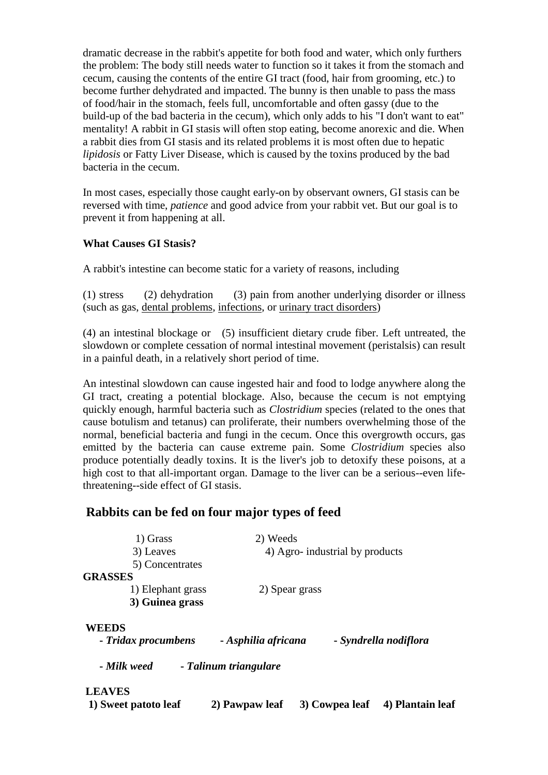dramatic decrease in the rabbit's appetite for both food and water, which only furthers the problem: The body still needs water to function so it takes it from the stomach and cecum, causing the contents of the entire GI tract (food, hair from grooming, etc.) to become further dehydrated and impacted. The bunny is then unable to pass the mass of food/hair in the stomach, feels full, uncomfortable and often gassy (due to the build-up of the bad bacteria in the cecum), which only adds to his "I don't want to eat" mentality! A rabbit in GI stasis will often stop eating, become anorexic and die. When a rabbit dies from GI stasis and its related problems it is most often due to hepatic *lipidosis* or Fatty Liver Disease, which is caused by the toxins produced by the bad bacteria in the cecum.

In most cases, especially those caught early-on by observant owners, GI stasis can be reversed with time, *patience* and good advice from your rabbit vet. But our goal is to prevent it from happening at all.

### **What Causes GI Stasis?**

A rabbit's intestine can become static for a variety of reasons, including

(1) stress (2) dehydration (3) pain from another underlying disorder or illness (such as gas, dental problems, infections, or urinary tract disorders)

(4) an intestinal blockage or (5) insufficient dietary crude fiber. Left untreated, the slowdown or complete cessation of normal intestinal movement (peristalsis) can result in a painful death, in a relatively short period of time.

An intestinal slowdown can cause ingested hair and food to lodge anywhere along the GI tract, creating a potential blockage. Also, because the cecum is not emptying quickly enough, harmful bacteria such as *Clostridium* species (related to the ones that cause botulism and tetanus) can proliferate, their numbers overwhelming those of the normal, beneficial bacteria and fungi in the cecum. Once this overgrowth occurs, gas emitted by the bacteria can cause extreme pain. Some *Clostridium* species also produce potentially deadly toxins. It is the liver's job to detoxify these poisons, at a high cost to that all-important organ. Damage to the liver can be a serious--even lifethreatening--side effect of GI stasis.

# **Rabbits can be fed on four major types of feed**

| 1) Grass                            | 2) Weeds                       |                |                       |
|-------------------------------------|--------------------------------|----------------|-----------------------|
| 3) Leaves                           | 4) Agro-industrial by products |                |                       |
| 5) Concentrates                     |                                |                |                       |
| <b>GRASSES</b>                      |                                |                |                       |
| 1) Elephant grass                   | 2) Spear grass                 |                |                       |
| 3) Guinea grass                     |                                |                |                       |
| <b>WEEDS</b><br>- Tridax procumbens | - Asphilia africana            |                | - Syndrella nodiflora |
| - Milk weed                         | - Talinum triangulare          |                |                       |
| <b>LEAVES</b>                       |                                |                |                       |
| 1) Sweet patoto leaf                | 2) Pawpaw leaf                 | 3) Cowpea leaf | 4) Plantain leaf      |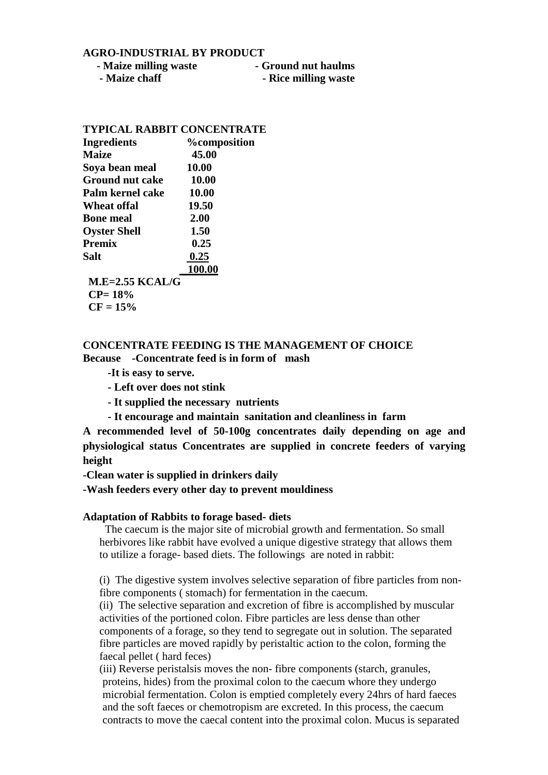#### **AGRO-INDUSTRIAL BY PRODUCT**

- **Maize milling waste** **Ground nut haulms**
	- **Maize chaff** **Rice milling waste**

### **TYPICAL RABBIT CONCENTRATE**

| <b>Ingredients</b>     | <b>%</b> composition |
|------------------------|----------------------|
| <b>Maize</b>           | 45.00                |
| Soya bean meal         | 10.00                |
| <b>Ground nut cake</b> | 10.00                |
| Palm kernel cake       | 10.00                |
| Wheat offal            | 19.50                |
| <b>Bone meal</b>       | 2.00                 |
| <b>Oyster Shell</b>    | 1.50                 |
| <b>Premix</b>          | 0.25                 |
| Salt                   | 0.25                 |
|                        | 100.00               |
| $M.E=2.55 KCAL/G$      |                      |
| $CP = 18\%$            |                      |
| $CF = 15%$             |                      |

### **CONCENTRATE FEEDING IS THE MANAGEMENT OF CHOICE Because -Concentrate feed is in form of mash**

- **-It is easy to serve.**
- **Left over does not stink**
- **It supplied the necessary nutrients**
- **It encourage and maintain sanitation and cleanliness in farm**

**A recommended level of 50-100g concentrates daily depending on age and physiological status Concentrates are supplied in concrete feeders of varying height** 

**-Clean water is supplied in drinkers daily**

**-Wash feeders every other day to prevent mouldiness**

#### **Adaptation of Rabbits to forage based- diets**

 The caecum is the major site of microbial growth and fermentation. So small herbivores like rabbit have evolved a unique digestive strategy that allows them to utilize a forage- based diets. The followings are noted in rabbit:

(i) The digestive system involves selective separation of fibre particles from nonfibre components ( stomach) for fermentation in the caecum.

(ii) The selective separation and excretion of fibre is accomplished by muscular activities of the portioned colon. Fibre particles are less dense than other components of a forage, so they tend to segregate out in solution. The separated fibre particles are moved rapidly by peristaltic action to the colon, forming the faecal pellet ( hard feces)

(iii) Reverse peristalsis moves the non- fibre components (starch, granules, proteins, hides) from the proximal colon to the caecum whore they undergo microbial fermentation. Colon is emptied completely every 24hrs of hard faeces and the soft faeces or chemotropism are excreted. In this process, the caecum contracts to move the caecal content into the proximal colon. Mucus is separated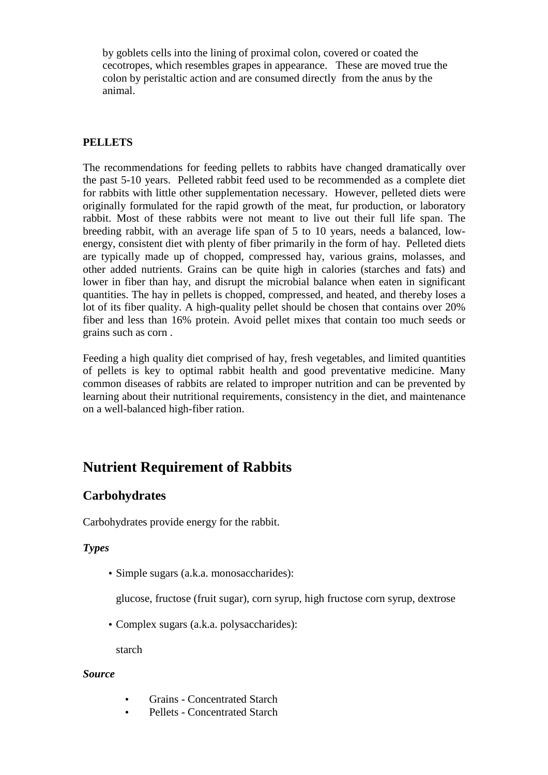by goblets cells into the lining of proximal colon, covered or coated the cecotropes, which resembles grapes in appearance. These are moved true the colon by peristaltic action and are consumed directly from the anus by the animal.

### **PELLETS**

The recommendations for feeding pellets to rabbits have changed dramatically over the past 5-10 years. Pelleted rabbit feed used to be recommended as a complete diet for rabbits with little other supplementation necessary. However, pelleted diets were originally formulated for the rapid growth of the meat, fur production, or laboratory rabbit. Most of these rabbits were not meant to live out their full life span. The breeding rabbit, with an average life span of 5 to 10 years, needs a balanced, lowenergy, consistent diet with plenty of fiber primarily in the form of hay. Pelleted diets are typically made up of chopped, compressed hay, various grains, molasses, and other added nutrients. Grains can be quite high in calories (starches and fats) and lower in fiber than hay, and disrupt the microbial balance when eaten in significant quantities. The hay in pellets is chopped, compressed, and heated, and thereby loses a lot of its fiber quality. A high-quality pellet should be chosen that contains over 20% fiber and less than 16% protein. Avoid pellet mixes that contain too much seeds or grains such as corn .

Feeding a high quality diet comprised of hay, fresh vegetables, and limited quantities of pellets is key to optimal rabbit health and good preventative medicine. Many common diseases of rabbits are related to improper nutrition and can be prevented by learning about their nutritional requirements, consistency in the diet, and maintenance on a well-balanced high-fiber ration.

# **Nutrient Requirement of Rabbits**

# **Carbohydrates**

Carbohydrates provide energy for the rabbit.

### *Types*

• Simple sugars (a.k.a. monosaccharides):

glucose, fructose (fruit sugar), corn syrup, high fructose corn syrup, dextrose

• Complex sugars (a.k.a. polysaccharides):

starch

### *Source*

- Grains Concentrated Starch
- Pellets Concentrated Starch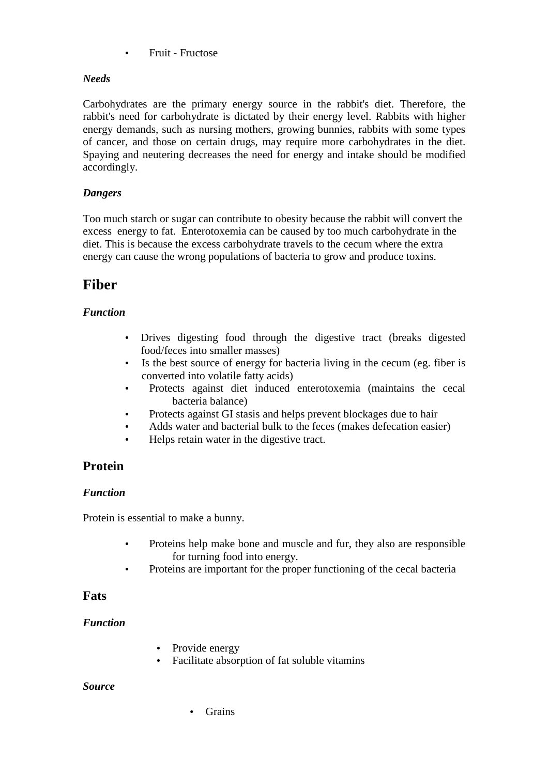• Fruit - Fructose

### *Needs*

Carbohydrates are the primary energy source in the rabbit's diet. Therefore, the rabbit's need for carbohydrate is dictated by their energy level. Rabbits with higher energy demands, such as nursing mothers, growing bunnies, rabbits with some types of cancer, and those on certain drugs, may require more carbohydrates in the diet. Spaying and neutering decreases the need for energy and intake should be modified accordingly.

## *Dangers*

Too much starch or sugar can contribute to obesity because the rabbit will convert the excess energy to fat. Enterotoxemia can be caused by too much carbohydrate in the diet. This is because the excess carbohydrate travels to the cecum where the extra energy can cause the wrong populations of bacteria to grow and produce toxins.

# **Fiber**

## *Function*

- Drives digesting food through the digestive tract (breaks digested food/feces into smaller masses)
- Is the best source of energy for bacteria living in the cecum (eg. fiber is converted into volatile fatty acids)
- Protects against diet induced enterotoxemia (maintains the cecal bacteria balance)
- Protects against GI stasis and helps prevent blockages due to hair
- Adds water and bacterial bulk to the feces (makes defecation easier)
- Helps retain water in the digestive tract.

# **Protein**

### *Function*

Protein is essential to make a bunny.

- Proteins help make bone and muscle and fur, they also are responsible for turning food into energy.
- Proteins are important for the proper functioning of the cecal bacteria

### **Fats**

### *Function*

- Provide energy
- Facilitate absorption of fat soluble vitamins

### *Source*

• Grains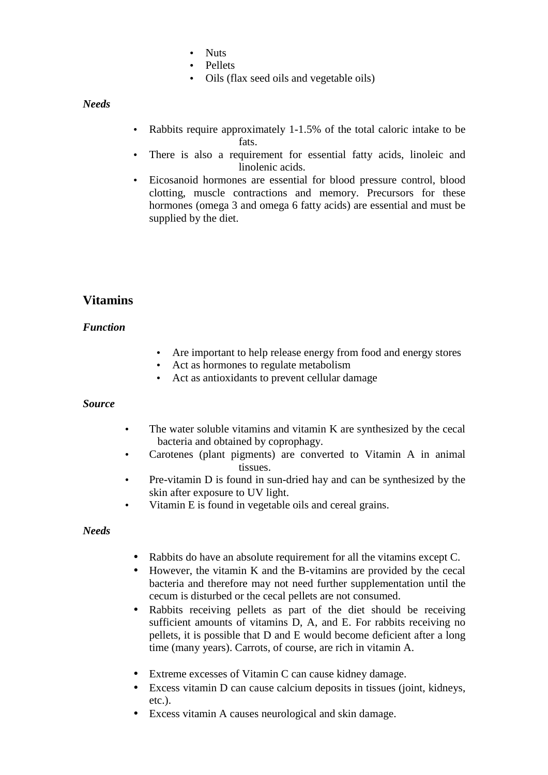- Nuts
- Pellets
- Oils (flax seed oils and vegetable oils)

*Needs* 

- Rabbits require approximately 1-1.5% of the total caloric intake to be fats.
- There is also a requirement for essential fatty acids, linoleic and linolenic acids.
- Eicosanoid hormones are essential for blood pressure control, blood clotting, muscle contractions and memory. Precursors for these hormones (omega 3 and omega 6 fatty acids) are essential and must be supplied by the diet.

# **Vitamins**

### *Function*

- Are important to help release energy from food and energy stores
- Act as hormones to regulate metabolism
- Act as antioxidants to prevent cellular damage

### *Source*

- The water soluble vitamins and vitamin K are synthesized by the cecal bacteria and obtained by coprophagy.
- Carotenes (plant pigments) are converted to Vitamin A in animal tissues.
- Pre-vitamin D is found in sun-dried hay and can be synthesized by the skin after exposure to UV light.
- Vitamin E is found in vegetable oils and cereal grains.

### *Needs*

- Rabbits do have an absolute requirement for all the vitamins except C.
- However, the vitamin K and the B-vitamins are provided by the cecal bacteria and therefore may not need further supplementation until the cecum is disturbed or the cecal pellets are not consumed.
- Rabbits receiving pellets as part of the diet should be receiving sufficient amounts of vitamins D, A, and E. For rabbits receiving no pellets, it is possible that D and E would become deficient after a long time (many years). Carrots, of course, are rich in vitamin A.
- Extreme excesses of Vitamin C can cause kidney damage.
- Excess vitamin D can cause calcium deposits in tissues (joint, kidneys, etc.).
- Excess vitamin A causes neurological and skin damage.